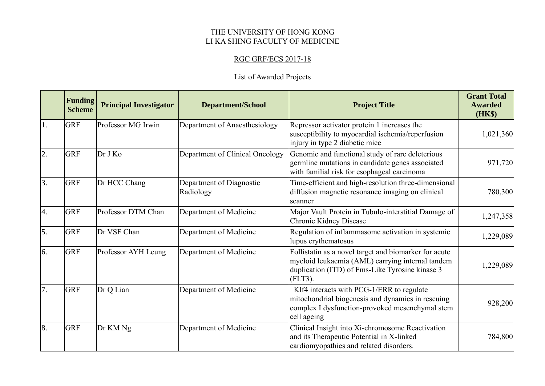## THE UNIVERSITY OF HONG KONG LI KA SHING FACULTY OF MEDICINE

## RGC GRF/ECS 2017-18

## List of Awarded Projects

|            | <b>Funding</b><br><b>Scheme</b> | <b>Principal Investigator</b> | <b>Department/School</b>              | <b>Project Title</b>                                                                                                                                                    | <b>Grant Total</b><br><b>Awarded</b><br>(HK\$) |
|------------|---------------------------------|-------------------------------|---------------------------------------|-------------------------------------------------------------------------------------------------------------------------------------------------------------------------|------------------------------------------------|
| 1.         | <b>GRF</b>                      | Professor MG Irwin            | Department of Anaesthesiology         | Repressor activator protein 1 increases the<br>susceptibility to myocardial ischemia/reperfusion<br>injury in type 2 diabetic mice                                      | 1,021,360                                      |
| 2.         | <b>GRF</b>                      | Dr J Ko                       | Department of Clinical Oncology       | Genomic and functional study of rare deleterious<br>germline mutations in candidate genes associated<br>with familial risk for esophageal carcinoma                     | 971,720                                        |
| 3.         | <b>GRF</b>                      | Dr HCC Chang                  | Department of Diagnostic<br>Radiology | Time-efficient and high-resolution three-dimensional<br>diffusion magnetic resonance imaging on clinical<br>scanner                                                     | 780,300                                        |
| 4.         | <b>GRF</b>                      | Professor DTM Chan            | Department of Medicine                | Major Vault Protein in Tubulo-interstitial Damage of<br>Chronic Kidney Disease                                                                                          | 1,247,358                                      |
| $\vert$ 5. | <b>GRF</b>                      | Dr VSF Chan                   | Department of Medicine                | Regulation of inflammasome activation in systemic<br>lupus erythematosus                                                                                                | 1,229,089                                      |
| 6.         | <b>GRF</b>                      | Professor AYH Leung           | Department of Medicine                | Follistatin as a novel target and biomarker for acute<br>myeloid leukaemia (AML) carrying internal tandem<br>duplication (ITD) of Fms-Like Tyrosine kinase 3<br>(FLT3). | 1,229,089                                      |
| 7.         | <b>GRF</b>                      | Dr Q Lian                     | Department of Medicine                | Klf4 interacts with PCG-1/ERR to regulate<br>mitochondrial biogenesis and dynamics in rescuing<br>complex I dysfunction-provoked mesenchymal stem<br>cell ageing        | 928,200                                        |
| 8.         | <b>GRF</b>                      | Dr KM Ng                      | Department of Medicine                | Clinical Insight into Xi-chromosome Reactivation<br>and its Therapeutic Potential in X-linked<br>cardiomyopathies and related disorders.                                | 784,800                                        |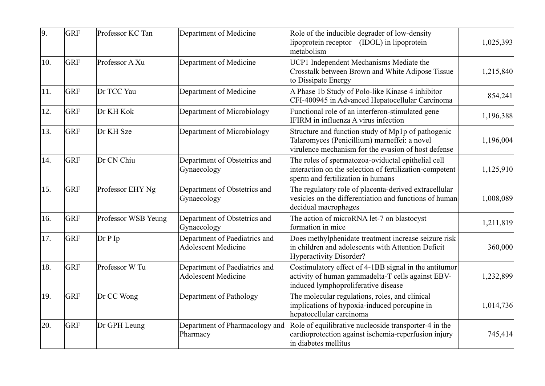| 9.  | <b>GRF</b> | Professor KC Tan    | Department of Medicine                                      | Role of the inducible degrader of low-density<br>lipoprotein receptor (IDOL) in lipoprotein<br>metabolism                                                 | 1,025,393 |
|-----|------------|---------------------|-------------------------------------------------------------|-----------------------------------------------------------------------------------------------------------------------------------------------------------|-----------|
| 10. | <b>GRF</b> | Professor A Xu      | Department of Medicine                                      | UCP1 Independent Mechanisms Mediate the<br>Crosstalk between Brown and White Adipose Tissue<br>to Dissipate Energy                                        | 1,215,840 |
| 11. | <b>GRF</b> | Dr TCC Yau          | Department of Medicine                                      | A Phase 1b Study of Polo-like Kinase 4 inhibitor<br>CFI-400945 in Advanced Hepatocellular Carcinoma                                                       | 854,241   |
| 12. | <b>GRF</b> | Dr KH Kok           | Department of Microbiology                                  | Functional role of an interferon-stimulated gene<br>IFIRM in influenza A virus infection                                                                  | 1,196,388 |
| 13. | <b>GRF</b> | Dr KH Sze           | Department of Microbiology                                  | Structure and function study of Mp1p of pathogenic<br>Talaromyces (Penicillium) marneffei: a novel<br>virulence mechanism for the evasion of host defense | 1,196,004 |
| 14. | <b>GRF</b> | Dr CN Chiu          | Department of Obstetrics and<br>Gynaecology                 | The roles of spermatozoa-oviductal epithelial cell<br>interaction on the selection of fertilization-competent<br>sperm and fertilization in humans        | 1,125,910 |
| 15. | <b>GRF</b> | Professor EHY Ng    | Department of Obstetrics and<br>Gynaecology                 | The regulatory role of placenta-derived extracellular<br>vesicles on the differentiation and functions of human<br>decidual macrophages                   | 1,008,089 |
| 16. | <b>GRF</b> | Professor WSB Yeung | Department of Obstetrics and<br>Gynaecology                 | The action of microRNA let-7 on blastocyst<br>formation in mice                                                                                           | 1,211,819 |
| 17. | <b>GRF</b> | Dr P Ip             | Department of Paediatrics and<br><b>Adolescent Medicine</b> | Does methylphenidate treatment increase seizure risk<br>in children and adolescents with Attention Deficit<br><b>Hyperactivity Disorder?</b>              | 360,000   |
| 18. | <b>GRF</b> | Professor W Tu      | Department of Paediatrics and<br><b>Adolescent Medicine</b> | Costimulatory effect of 4-1BB signal in the antitumor<br>activity of human gammadelta-T cells against EBV-<br>induced lymphoproliferative disease         | 1,232,899 |
| 19. | <b>GRF</b> | Dr CC Wong          | Department of Pathology                                     | The molecular regulations, roles, and clinical<br>implications of hypoxia-induced porcupine in<br>hepatocellular carcinoma                                | 1,014,736 |
| 20. | <b>GRF</b> | Dr GPH Leung        | Department of Pharmacology and<br>Pharmacy                  | Role of equilibrative nucleoside transporter-4 in the<br>cardioprotection against ischemia-reperfusion injury<br>in diabetes mellitus                     | 745,414   |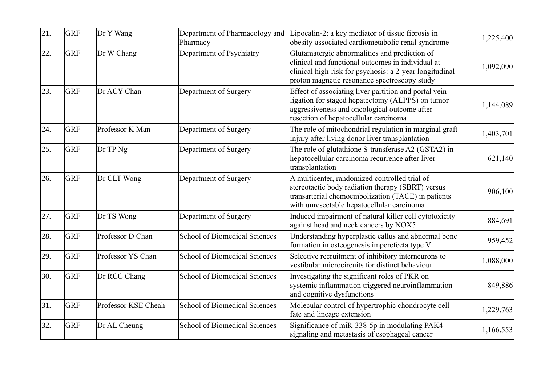| 21. | <b>GRF</b> | Dr Y Wang           | Department of Pharmacology and<br>Pharmacy | Lipocalin-2: a key mediator of tissue fibrosis in<br>obesity-associated cardiometabolic renal syndrome                                                                                                        | 1,225,400 |
|-----|------------|---------------------|--------------------------------------------|---------------------------------------------------------------------------------------------------------------------------------------------------------------------------------------------------------------|-----------|
| 22. | <b>GRF</b> | Dr W Chang          | Department of Psychiatry                   | Glutamatergic abnormalities and prediction of<br>clinical and functional outcomes in individual at<br>clinical high-risk for psychosis: a 2-year longitudinal<br>proton magnetic resonance spectroscopy study | 1,092,090 |
| 23. | <b>GRF</b> | Dr ACY Chan         | Department of Surgery                      | Effect of associating liver partition and portal vein<br>ligation for staged hepatectomy (ALPPS) on tumor<br>aggressiveness and oncological outcome after<br>resection of hepatocellular carcinoma            | 1,144,089 |
| 24. | <b>GRF</b> | Professor K Man     | Department of Surgery                      | The role of mitochondrial regulation in marginal graft<br>injury after living donor liver transplantation                                                                                                     | 1,403,701 |
| 25. | <b>GRF</b> | Dr TP Ng            | Department of Surgery                      | The role of glutathione S-transferase A2 (GSTA2) in<br>hepatocellular carcinoma recurrence after liver<br>transplantation                                                                                     | 621,140   |
| 26. | <b>GRF</b> | Dr CLT Wong         | Department of Surgery                      | A multicenter, randomized controlled trial of<br>stereotactic body radiation therapy (SBRT) versus<br>transarterial chemoembolization (TACE) in patients<br>with unresectable hepatocellular carcinoma        | 906,100   |
| 27. | <b>GRF</b> | Dr TS Wong          | Department of Surgery                      | Induced impairment of natural killer cell cytotoxicity<br>against head and neck cancers by NOX5                                                                                                               | 884,691   |
| 28. | <b>GRF</b> | Professor D Chan    | School of Biomedical Sciences              | Understanding hyperplastic callus and abnormal bone<br>formation in osteogenesis imperefecta type V                                                                                                           | 959,452   |
| 29. | <b>GRF</b> | Professor YS Chan   | School of Biomedical Sciences              | Selective recruitment of inhibitory interneurons to<br>vestibular microcircuits for distinct behaviour                                                                                                        | 1,088,000 |
| 30. | <b>GRF</b> | Dr RCC Chang        | <b>School of Biomedical Sciences</b>       | Investigating the significant roles of PKR on<br>systemic inflammation triggered neuroinflammation<br>and cognitive dysfunctions                                                                              | 849,886   |
| 31. | <b>GRF</b> | Professor KSE Cheah | <b>School of Biomedical Sciences</b>       | Molecular control of hypertrophic chondrocyte cell<br>fate and lineage extension                                                                                                                              | 1,229,763 |
| 32. | <b>GRF</b> | Dr AL Cheung        | <b>School of Biomedical Sciences</b>       | Significance of miR-338-5p in modulating PAK4<br>signaling and metastasis of esophageal cancer                                                                                                                | 1,166,553 |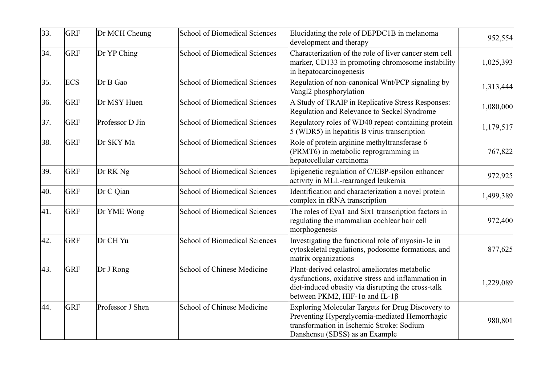| 33. | <b>GRF</b> | Dr MCH Cheung    | <b>School of Biomedical Sciences</b> | Elucidating the role of DEPDC1B in melanoma<br>development and therapy                                                                                                                                     | 952,554   |
|-----|------------|------------------|--------------------------------------|------------------------------------------------------------------------------------------------------------------------------------------------------------------------------------------------------------|-----------|
| 34. | <b>GRF</b> | Dr YP Ching      | <b>School of Biomedical Sciences</b> | Characterization of the role of liver cancer stem cell<br>marker, CD133 in promoting chromosome instability<br>in hepatocarcinogenesis                                                                     | 1,025,393 |
| 35. | <b>ECS</b> | Dr B Gao         | <b>School of Biomedical Sciences</b> | Regulation of non-canonical Wnt/PCP signaling by<br>Vangl2 phosphorylation                                                                                                                                 | 1,313,444 |
| 36. | <b>GRF</b> | Dr MSY Huen      | <b>School of Biomedical Sciences</b> | A Study of TRAIP in Replicative Stress Responses:<br>Regulation and Relevance to Seckel Syndrome                                                                                                           | 1,080,000 |
| 37. | <b>GRF</b> | Professor D Jin  | <b>School of Biomedical Sciences</b> | Regulatory roles of WD40 repeat-containing protein<br>5 (WDR5) in hepatitis B virus transcription                                                                                                          | 1,179,517 |
| 38. | <b>GRF</b> | Dr SKY Ma        | <b>School of Biomedical Sciences</b> | Role of protein arginine methyltransferase 6<br>(PRMT6) in metabolic reprogramming in<br>hepatocellular carcinoma                                                                                          | 767,822   |
| 39. | <b>GRF</b> | Dr RK Ng         | <b>School of Biomedical Sciences</b> | Epigenetic regulation of C/EBP-epsilon enhancer<br>activity in MLL-rearranged leukemia                                                                                                                     | 972,925   |
| 40. | <b>GRF</b> | Dr C Qian        | School of Biomedical Sciences        | Identification and characterization a novel protein<br>complex in rRNA transcription                                                                                                                       | 1,499,389 |
| 41. | <b>GRF</b> | Dr YME Wong      | <b>School of Biomedical Sciences</b> | The roles of Eya1 and Six1 transcription factors in<br>regulating the mammalian cochlear hair cell<br>morphogenesis                                                                                        | 972,400   |
| 42. | <b>GRF</b> | Dr CH Yu         | <b>School of Biomedical Sciences</b> | Investigating the functional role of myosin-1e in<br>cytoskeletal regulations, podosome formations, and<br>matrix organizations                                                                            | 877,625   |
| 43. | <b>GRF</b> | Dr J Rong        | School of Chinese Medicine           | Plant-derived celastrol ameliorates metabolic<br>dysfunctions, oxidative stress and inflammation in<br>diet-induced obesity via disrupting the cross-talk<br>between PKM2, HIF-1 $\alpha$ and IL-1 $\beta$ | 1,229,089 |
| 44. | <b>GRF</b> | Professor J Shen | School of Chinese Medicine           | Exploring Molecular Targets for Drug Discovery to<br>Preventing Hyperglycemia-mediated Hemorrhagic<br>transformation in Ischemic Stroke: Sodium<br>Danshensu (SDSS) as an Example                          | 980,801   |